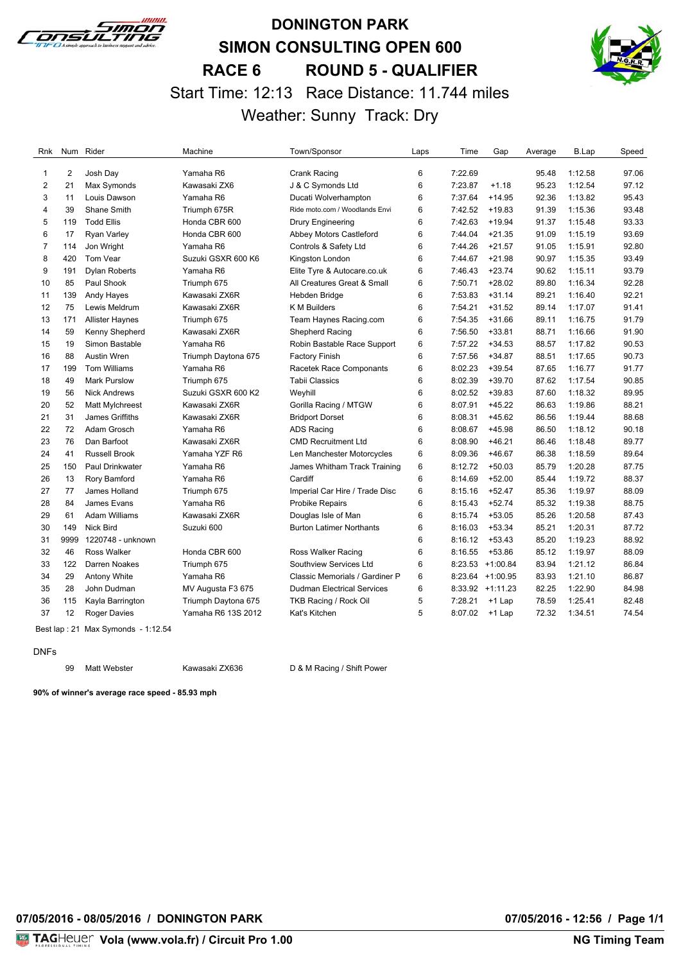

# **DONINGTON PARK SIMON CONSULTING OPEN 600 RACE 6 ROUND 5 - QUALIFIER** Start Time: 12:13 Race Distance: 11.744 miles Weather: Sunny Track: Dry



| Rnk                     |                | Num Rider              | Machine             | Town/Sponsor                      | Laps | Time    | Gap              | Average | B.Lap   | Speed |
|-------------------------|----------------|------------------------|---------------------|-----------------------------------|------|---------|------------------|---------|---------|-------|
|                         | $\overline{2}$ |                        | Yamaha R6           |                                   | 6    | 7:22.69 |                  | 95.48   | 1:12.58 | 97.06 |
| 1                       | 21             | Josh Day               | Kawasaki ZX6        | Crank Racing                      |      |         | $+1.18$          |         |         | 97.12 |
| $\overline{\mathbf{c}}$ |                | Max Symonds            |                     | J & C Symonds Ltd                 | 6    | 7:23.87 |                  | 95.23   | 1:12.54 |       |
| 3                       | 11             | Louis Dawson           | Yamaha R6           | Ducati Wolverhampton              | 6    | 7:37.64 | $+14.95$         | 92.36   | 1:13.82 | 95.43 |
| 4                       | 39             | Shane Smith            | Triumph 675R        | Ride moto.com / Woodlands Envi    | 6    | 7:42.52 | $+19.83$         | 91.39   | 1:15.36 | 93.48 |
| 5                       | 119            | <b>Todd Ellis</b>      | Honda CBR 600       | <b>Drury Engineering</b>          | 6    | 7:42.63 | $+19.94$         | 91.37   | 1:15.48 | 93.33 |
| 6                       | 17             | <b>Ryan Varley</b>     | Honda CBR 600       | Abbey Motors Castleford           | 6    | 7:44.04 | $+21.35$         | 91.09   | 1:15.19 | 93.69 |
| 7                       | 114            | Jon Wright             | Yamaha R6           | Controls & Safety Ltd             | 6    | 7:44.26 | $+21.57$         | 91.05   | 1:15.91 | 92.80 |
| 8                       | 420            | Tom Vear               | Suzuki GSXR 600 K6  | Kingston London                   | 6    | 7:44.67 | $+21.98$         | 90.97   | 1:15.35 | 93.49 |
| 9                       | 191            | <b>Dylan Roberts</b>   | Yamaha R6           | Elite Tyre & Autocare.co.uk       | 6    | 7:46.43 | $+23.74$         | 90.62   | 1:15.11 | 93.79 |
| 10                      | 85             | Paul Shook             | Triumph 675         | All Creatures Great & Small       | 6    | 7:50.71 | $+28.02$         | 89.80   | 1:16.34 | 92.28 |
| 11                      | 139            | Andy Hayes             | Kawasaki ZX6R       | Hebden Bridge                     | 6    | 7:53.83 | $+31.14$         | 89.21   | 1:16.40 | 92.21 |
| 12                      | 75             | Lewis Meldrum          | Kawasaki ZX6R       | K M Builders                      | 6    | 7:54.21 | $+31.52$         | 89.14   | 1:17.07 | 91.41 |
| 13                      | 171            | <b>Allister Haynes</b> | Triumph 675         | Team Haynes Racing.com            | 6    | 7:54.35 | $+31.66$         | 89.11   | 1:16.75 | 91.79 |
| 14                      | 59             | Kenny Shepherd         | Kawasaki ZX6R       | Shepherd Racing                   | 6    | 7:56.50 | $+33.81$         | 88.71   | 1:16.66 | 91.90 |
| 15                      | 19             | Simon Bastable         | Yamaha R6           | Robin Bastable Race Support       | 6    | 7:57.22 | $+34.53$         | 88.57   | 1:17.82 | 90.53 |
| 16                      | 88             | Austin Wren            | Triumph Daytona 675 | <b>Factory Finish</b>             | 6    | 7:57.56 | $+34.87$         | 88.51   | 1:17.65 | 90.73 |
| 17                      | 199            | <b>Tom Williams</b>    | Yamaha R6           | Racetek Race Componants           | 6    | 8:02.23 | $+39.54$         | 87.65   | 1:16.77 | 91.77 |
| 18                      | 49             | <b>Mark Purslow</b>    | Triumph 675         | <b>Tabii Classics</b>             | 6    | 8:02.39 | $+39.70$         | 87.62   | 1:17.54 | 90.85 |
| 19                      | 56             | <b>Nick Andrews</b>    | Suzuki GSXR 600 K2  | Weyhill                           | 6    | 8:02.52 | $+39.83$         | 87.60   | 1:18.32 | 89.95 |
| 20                      | 52             | Matt Mylchreest        | Kawasaki ZX6R       | Gorilla Racing / MTGW             | 6    | 8:07.91 | $+45.22$         | 86.63   | 1:19.86 | 88.21 |
| 21                      | 31             | James Griffiths        | Kawasaki ZX6R       | <b>Bridport Dorset</b>            | 6    | 8:08.31 | $+45.62$         | 86.56   | 1:19.44 | 88.68 |
| 22                      | 72             | Adam Grosch            | Yamaha R6           | <b>ADS Racing</b>                 | 6    | 8:08.67 | $+45.98$         | 86.50   | 1:18.12 | 90.18 |
| 23                      | 76             | Dan Barfoot            | Kawasaki ZX6R       | <b>CMD Recruitment Ltd</b>        | 6    | 8:08.90 | $+46.21$         | 86.46   | 1:18.48 | 89.77 |
| 24                      | 41             | <b>Russell Brook</b>   | Yamaha YZF R6       | Len Manchester Motorcycles        | 6    | 8:09.36 | $+46.67$         | 86.38   | 1:18.59 | 89.64 |
| 25                      | 150            | Paul Drinkwater        | Yamaha R6           | James Whitham Track Training      | 6    | 8:12.72 | $+50.03$         | 85.79   | 1:20.28 | 87.75 |
| 26                      | 13             | Rory Bamford           | Yamaha R6           | Cardiff                           | 6    | 8:14.69 | $+52.00$         | 85.44   | 1:19.72 | 88.37 |
| 27                      | 77             | James Holland          | Triumph 675         | Imperial Car Hire / Trade Disc    | 6    | 8:15.16 | $+52.47$         | 85.36   | 1:19.97 | 88.09 |
| 28                      | 84             | James Evans            | Yamaha R6           | <b>Probike Repairs</b>            | 6    | 8:15.43 | $+52.74$         | 85.32   | 1:19.38 | 88.75 |
| 29                      | 61             | <b>Adam Williams</b>   | Kawasaki ZX6R       | Douglas Isle of Man               | 6    | 8:15.74 | $+53.05$         | 85.26   | 1:20.58 | 87.43 |
| 30                      | 149            | <b>Nick Bird</b>       | Suzuki 600          | <b>Burton Latimer Northants</b>   | 6    | 8:16.03 | $+53.34$         | 85.21   | 1:20.31 | 87.72 |
| 31                      | 9999           | 1220748 - unknown      |                     |                                   | 6    | 8:16.12 | $+53.43$         | 85.20   | 1:19.23 | 88.92 |
| 32                      | 46             | <b>Ross Walker</b>     | Honda CBR 600       | Ross Walker Racing                | 6    | 8:16.55 | $+53.86$         | 85.12   | 1:19.97 | 88.09 |
| 33                      | 122            | Darren Noakes          | Triumph 675         | Southview Services Ltd            | 6    |         | 8:23.53 +1:00.84 | 83.94   | 1:21.12 | 86.84 |
| 34                      | 29             | Antony White           | Yamaha R6           | Classic Memorials / Gardiner P    | 6    |         | 8:23.64 +1:00.95 | 83.93   | 1:21.10 | 86.87 |
| 35                      | 28             | John Dudman            | MV Augusta F3 675   | <b>Dudman Electrical Services</b> | 6    |         | 8:33.92 +1:11.23 | 82.25   | 1:22.90 | 84.98 |
| 36                      | 115            | Kayla Barrington       | Triumph Daytona 675 | TKB Racing / Rock Oil             | 5    | 7:28.21 | $+1$ Lap         | 78.59   | 1:25.41 | 82.48 |
| 37                      | 12             | <b>Roger Davies</b>    | Yamaha R6 13S 2012  | Kat's Kitchen                     | 5    | 8:07.02 | +1 Lap           | 72.32   | 1:34.51 | 74.54 |
|                         |                |                        |                     |                                   |      |         |                  |         |         |       |

Best lap : 21 Max Symonds - 1:12.54

DNFs

99 Matt Webster Kawasaki ZX636 D & M Racing / Shift Power

**90% of winner's average race speed - 85.93 mph**

**07/05/2016 - 08/05/2016 / DONINGTON PARK 07/05/2016 - 12:56 / Page 1/1**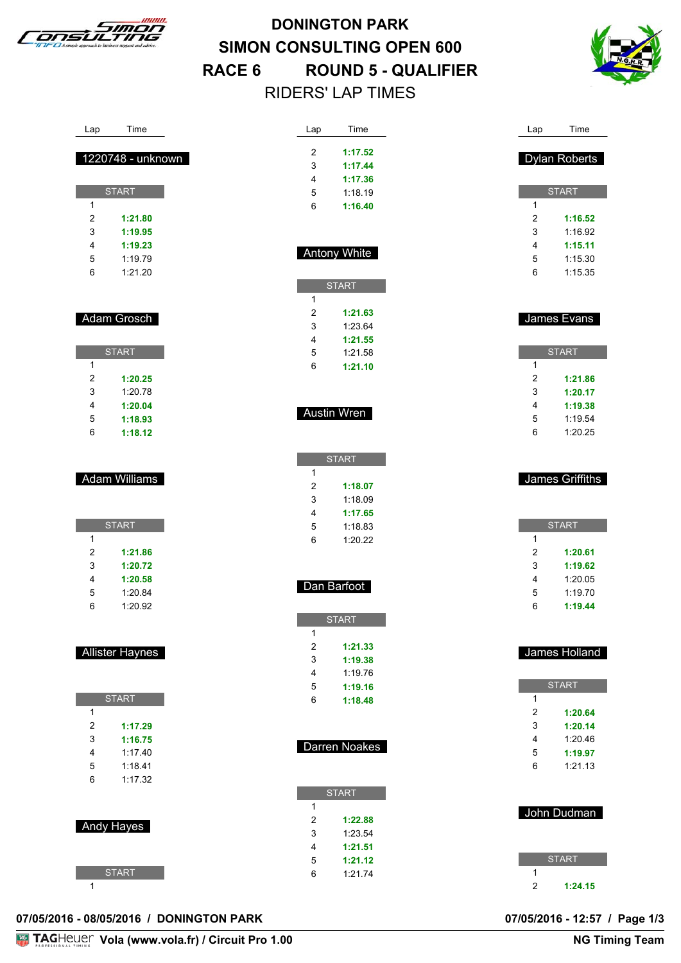

# **DONINGTON PARK SIMON CONSULTING OPEN 600 RACE 6 ROUND 5 - QUALIFIER** RIDERS' LAP TIMES



| Lap                     | Time                   | Lap                       | Time                | Lap            | Time                 |
|-------------------------|------------------------|---------------------------|---------------------|----------------|----------------------|
|                         |                        |                           |                     |                |                      |
|                         | 1220748 - unknown      | $\overline{c}$            | 1:17.52             |                | <b>Dylan Roberts</b> |
|                         |                        | 3<br>4                    | 1:17.44<br>1:17.36  |                |                      |
|                         | <b>START</b>           | 5                         | 1:18.19             |                | <b>START</b>         |
| $\mathbf{1}$            |                        | 6                         | 1:16.40             | 1              |                      |
| $\overline{2}$          | 1:21.80                |                           |                     | 2              | 1:16.52              |
| 3                       | 1:19.95                |                           |                     | 3              | 1:16.92              |
| 4                       | 1:19.23                |                           |                     | 4              | 1:15.11              |
| 5                       | 1:19.79                |                           | <b>Antony White</b> | 5              | 1:15.30              |
| 6                       | 1:21.20                |                           |                     | 6              | 1:15.35              |
|                         |                        |                           | <b>START</b>        |                |                      |
|                         |                        | $\mathbf{1}$              |                     |                |                      |
|                         | Adam Grosch            | $\overline{\mathbf{c}}$   | 1:21.63             |                | James Evans          |
|                         |                        | 3<br>4                    | 1:23.64<br>1:21.55  |                |                      |
|                         | <b>START</b>           | 5                         | 1:21.58             |                | <b>START</b>         |
| $\mathbf{1}$            |                        | 6                         | 1:21.10             | 1              |                      |
| $\overline{\mathbf{c}}$ | 1:20.25                |                           |                     | $\overline{c}$ | 1:21.86              |
| 3                       | 1:20.78                |                           |                     | 3              | 1:20.17              |
| 4                       | 1:20.04                |                           |                     | 4              | 1:19.38              |
| 5                       | 1:18.93                |                           | <b>Austin Wren</b>  | 5              | 1:19.54              |
| 6                       | 1:18.12                |                           |                     | 6              | 1:20.25              |
|                         |                        |                           |                     |                |                      |
|                         |                        |                           | <b>START</b>        |                |                      |
|                         | Adam Williams          | 1                         |                     |                | James Griffiths      |
|                         |                        | $\overline{c}$<br>3       | 1:18.07<br>1:18.09  |                |                      |
|                         |                        | 4                         | 1:17.65             |                |                      |
|                         | <b>START</b>           | 5                         | 1:18.83             |                | <b>START</b>         |
| 1                       |                        | 6                         | 1:20.22             | 1              |                      |
| $\overline{\mathbf{c}}$ | 1:21.86                |                           |                     | $\overline{c}$ | 1:20.61              |
| 3                       | 1:20.72                |                           |                     | 3              | 1:19.62              |
| 4                       | 1:20.58                |                           | Dan Barfoot         | 4              | 1:20.05              |
| 5                       | 1:20.84                |                           |                     | 5              | 1:19.70              |
| 6                       | 1:20.92                |                           |                     | 6              | 1:19.44              |
|                         |                        | $\mathbf{1}$              | <b>START</b>        |                |                      |
|                         |                        | $\overline{c}$            | 1:21.33             |                |                      |
|                         | <b>Allister Haynes</b> | 3                         | 1:19.38             |                | James Holland        |
|                         |                        | 4                         | 1:19.76             |                |                      |
|                         |                        | 5                         | 1:19.16             |                | <b>START</b>         |
|                         | <b>START</b>           | 6                         | 1:18.48             | $\mathbf{1}$   |                      |
| 1                       |                        |                           |                     | 2              | 1:20.64              |
| $\overline{c}$          | 1:17.29                |                           |                     | 3              | 1:20.14              |
| 3                       | 1:16.75<br>1:17.40     |                           | Darren Noakes       | 4              | 1:20.46              |
| 4<br>5                  | 1:18.41                |                           |                     | 5<br>6         | 1:19.97<br>1:21.13   |
| 6                       | 1:17.32                |                           |                     |                |                      |
|                         |                        |                           | <b>START</b>        |                |                      |
|                         |                        | 1                         |                     |                |                      |
|                         | Andy Hayes             | $\boldsymbol{2}$          | 1:22.88             |                | John Dudman          |
|                         |                        | $\ensuremath{\mathsf{3}}$ | 1:23.54             |                |                      |
|                         |                        | 4                         | 1:21.51             |                |                      |
|                         |                        | 5                         | 1:21.12             |                | <b>START</b>         |
|                         | <b>START</b>           | 6                         | 1:21.74             | 1              |                      |
| 1                       |                        |                           |                     | $\overline{2}$ | 1:24.15              |

#### **07/05/2016 - 08/05/2016 / DONINGTON PARK 07/05/2016 - 12:57 / Page 1/3**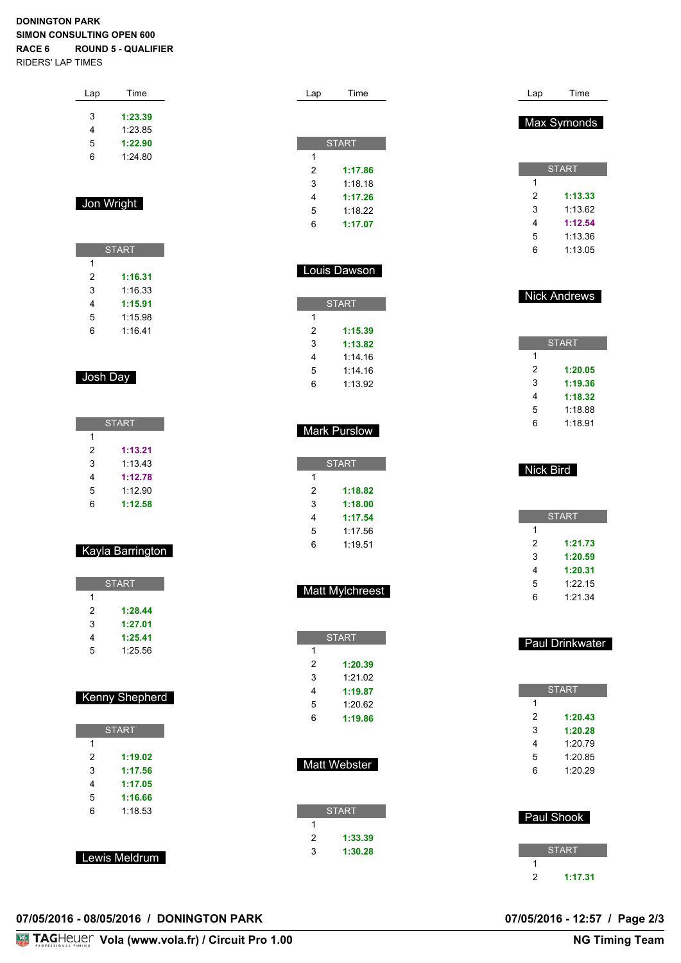#### **DONINGTON PARK SIMON CONSULTING OPEN 600 RACE 6 ROUND 5 - QUALIFIER** RIDERS' LAP TIMES

| Lap | Time    |  |  |
|-----|---------|--|--|
|     |         |  |  |
| 3   | 1:23.39 |  |  |
| 4   | 1:23.85 |  |  |
| 5   | 1:22.90 |  |  |
| 6   | 1:24.80 |  |  |
|     |         |  |  |
|     |         |  |  |
|     |         |  |  |

#### Jon Wright

|   | <b>START</b> |  |  |
|---|--------------|--|--|
| 1 |              |  |  |
| 2 | 1:16.31      |  |  |
| 3 | 1.16.33      |  |  |
| 4 | 1:15.91      |  |  |
| 5 | 1:15.98      |  |  |
| 6 | 1:16.41      |  |  |

#### Josh Day

| <b>START</b> |         |  |
|--------------|---------|--|
| 1            |         |  |
| 2            | 1:13.21 |  |
| 3            | 1:13.43 |  |
| 4            | 1:12.78 |  |
| 5            | 1:12.90 |  |
| 6            | 1:12.58 |  |

#### Kayla Barrington

| <b>START</b> |         |  |  |  |
|--------------|---------|--|--|--|
| 1            |         |  |  |  |
| 2            | 1:28.44 |  |  |  |
| 3            | 1:27.01 |  |  |  |
| 4            | 1:25.41 |  |  |  |
| 5            | 1:25.56 |  |  |  |
|              |         |  |  |  |
|              |         |  |  |  |

#### Kenny Shepherd

| <b>START</b> |         |  |
|--------------|---------|--|
| 1            |         |  |
| 2            | 1:19.02 |  |
| 3            | 1:17.56 |  |
| 4            | 1:17.05 |  |
| 5            | 1:16.66 |  |
| 6            | 1:18.53 |  |
|              |         |  |
|              |         |  |

Lewis Meldrum

| Lap            | Time                   | Lap              | Time                |
|----------------|------------------------|------------------|---------------------|
|                |                        |                  |                     |
|                |                        |                  | Max Symonds         |
|                | <b>START</b>           |                  |                     |
| 1              |                        |                  |                     |
| $\overline{c}$ | 1:17.86                |                  | <b>START</b>        |
| 3              | 1:18.18                | 1                |                     |
| 4              | 1:17.26                | $\overline{c}$   | 1:13.33             |
| 5              | 1:18.22                | 3                | 1:13.62             |
| 6              | 1:17.07                | 4                | 1:12.54             |
|                |                        | 5                | 1:13.36             |
|                |                        | 6                | 1:13.05             |
|                |                        |                  |                     |
|                | Louis Dawson           |                  |                     |
|                |                        |                  | <b>Nick Andrews</b> |
|                | <b>START</b>           |                  |                     |
| 1              |                        |                  |                     |
| 2              | 1:15.39                |                  | <b>START</b>        |
| 3              | 1:13.82                | 1                |                     |
| 4              | 1:14.16                | 2                | 1:20.05             |
| 5              | 1:14.16                | 3                | 1:19.36             |
| 6              | 1:13.92                | 4                |                     |
|                |                        |                  | 1:18.32<br>1:18.88  |
|                |                        | 5<br>6           |                     |
|                | <b>Mark Purslow</b>    |                  | 1:18.91             |
|                |                        |                  |                     |
|                | <b>START</b>           |                  |                     |
| 1              |                        | <b>Nick Bird</b> |                     |
| 2              | 1:18.82                |                  |                     |
| 3              | 1:18.00                |                  |                     |
| 4              | 1:17.54                |                  | <b>START</b>        |
| 5              | 1:17.56                | 1                |                     |
| 6              | 1:19.51                | 2                | 1:21.73             |
|                |                        | 3                | 1:20.59             |
|                |                        | 4                | 1:20.31             |
|                |                        | 5                | 1:22.15             |
|                | <b>Matt Mylchreest</b> | 6                | 1:21.34             |
|                |                        |                  |                     |
|                | <b>START</b>           |                  |                     |
| 1              |                        |                  | Paul Drinkwater     |
| $\overline{c}$ | 1:20.39                |                  |                     |
| 3              | 1:21.02                |                  |                     |
| 4              | 1:19.87                |                  | <b>START</b>        |
| 5              | 1:20.62                | 1                |                     |
| 6              | 1:19.86                | $\overline{c}$   | 1:20.43             |
|                |                        | 3                | 1:20.28             |
|                |                        | 4                | 1:20.79             |

Matt Webster

| <b>START</b> |         |  |
|--------------|---------|--|
| 1            |         |  |
| 2            | 1:33.39 |  |
| 3            | 1:30.28 |  |

 Paul Shook **START** 

 1:20.85 1:20.29

**1:17.31**

## **07/05/2016 - 08/05/2016 / DONINGTON PARK 07/05/2016 - 12:57 / Page 2/3**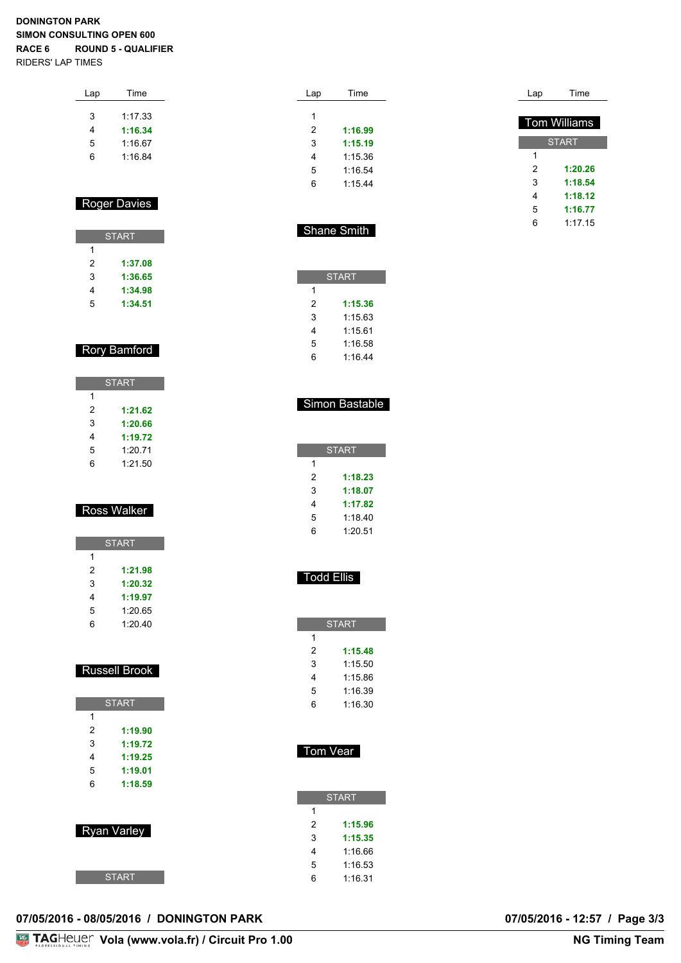#### **DONINGTON PARK SIMON CONSULTING OPEN 600 RACE 6 ROUND 5 - QUALIFIER** RIDERS' LAP TIMES

| Lap | Time    |  |
|-----|---------|--|
| 3   | 1:17.33 |  |
| 4   | 1:16.34 |  |
| 5   | 1:16.67 |  |
| հ   | 1:16.84 |  |
|     |         |  |

#### Roger Davies

| <b>START</b> |         |  |
|--------------|---------|--|
| 1            |         |  |
| 2            | 1:37.08 |  |
| 3            | 1:36.65 |  |
| 4            | 1:34.98 |  |
| 5            | 1:34.51 |  |

#### Rory Bamford

|   | <b>START</b> |
|---|--------------|
| 1 |              |
| 2 | 1:21.62      |
| 3 | 1:20.66      |
| 4 | 1:19.72      |
| 5 | 1:20.71      |
| հ | 1:21.50      |

#### Ross Walker

|   | <b>START</b> |
|---|--------------|
| 1 |              |
| 2 | 1:21.98      |
| 3 | 1:20.32      |
| 4 | 1:19.97      |
| 5 | 1:20.65      |
| հ | 1:20.40      |

## Russell Brook

|   | <b>START</b> |
|---|--------------|
| 1 |              |
| 2 | 1:19.90      |
| 3 | 1:19.72      |
| 4 | 1:19.25      |
| 5 | 1:19.01      |
| 6 | 1:18.59      |
|   |              |
|   |              |
|   | Ryan Varley  |

**START** 

| Lap | Time    |
|-----|---------|
| 1   |         |
| 2   | 1:16.99 |
| 3   | 1:15.19 |
| 4   | 1:15.36 |
| 5   | 1:16.54 |
| 6   | 1:15.44 |
|     |         |

| Lap | Time                |
|-----|---------------------|
|     |                     |
|     | <b>Tom Williams</b> |
|     | <b>START</b>        |
| 1   |                     |
| 2   | 1:20.26             |
| 3   | 1:18.54             |
| 4   | 1:18.12             |
| 5   | 1:16.77             |
| 6   | 1.1715              |

|  | <b>Shane Smith</b> |  |
|--|--------------------|--|
|--|--------------------|--|

| <b>START</b> |         |  |  |  |  |  |  |  |  |  |  |
|--------------|---------|--|--|--|--|--|--|--|--|--|--|
| 1            |         |  |  |  |  |  |  |  |  |  |  |
| 2            | 1:15.36 |  |  |  |  |  |  |  |  |  |  |
| 3            | 1:15.63 |  |  |  |  |  |  |  |  |  |  |
| 4            | 1:15.61 |  |  |  |  |  |  |  |  |  |  |
| 5            | 1:16.58 |  |  |  |  |  |  |  |  |  |  |
| հ            | 1:16.44 |  |  |  |  |  |  |  |  |  |  |

#### Simon Bastable

|   | <b>START</b> |
|---|--------------|
| 1 |              |
| 2 | 1:18.23      |
| 3 | 1:18.07      |
| 4 | 1:17.82      |
| 5 | 1:18.40      |
| հ | 1:20.51      |

#### Todd Ellis

| <b>START</b> |
|--------------|
|              |
| 1:15.48      |
| 1:15.50      |
| 1:15.86      |
| 1:16.39      |
| 1:16.30      |
|              |

#### Tom Vear

|   | <b>START</b> |
|---|--------------|
| 1 |              |
| 2 | 1:15.96      |
| 3 | 1:15.35      |
| 4 | 1:16.66      |
| 5 | 1:16.53      |
| ĥ | 1:16.31      |

#### **07/05/2016 - 08/05/2016 / DONINGTON PARK 07/05/2016 - 12:57 / Page 3/3**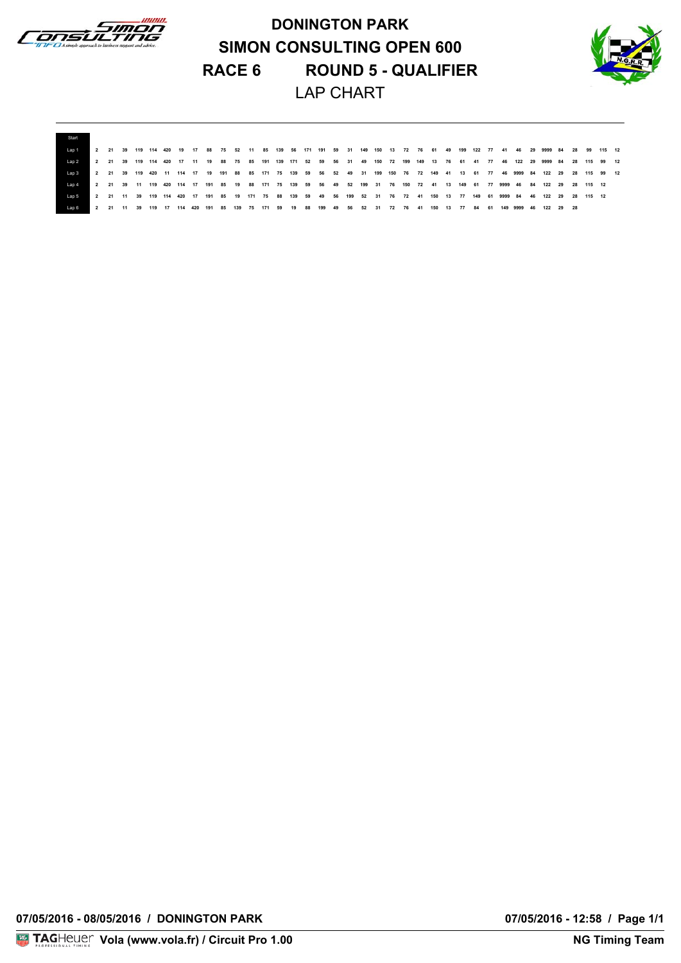

**DONINGTON PARK SIMON CONSULTING OPEN 600 RACE 6 ROUND 5 - QUALIFIER** LAP CHART



| l an 1     |  |  |  |  |  |  |  |  |  |  |  |  |  |  |  | 2 21 39 119 114 420 19 17 88 75 52 11 85 139 56 171 191 59 31 149 150 13 72 76 61 49 199 122 77 41 46 29 9999 84 28 99 115 12 |  |  |  |  |
|------------|--|--|--|--|--|--|--|--|--|--|--|--|--|--|--|-------------------------------------------------------------------------------------------------------------------------------|--|--|--|--|
| Lap 2      |  |  |  |  |  |  |  |  |  |  |  |  |  |  |  | 2 21 39 119 114 420 17 11 19 88 75 85 191 139 171 52 59 56 31 49 150 72 199 149 13 76 61 41 77 46 122 29 9999 84 28 115 99 12 |  |  |  |  |
| $1$ an $3$ |  |  |  |  |  |  |  |  |  |  |  |  |  |  |  | 2 21 39 119 420 11 114 17 19 191 88 85 171 75 139 59 56 52 49 31 199 150 76 72 149 41 13 61 77 46 9999 84 122 29 28 115 99 12 |  |  |  |  |
| $1$ an $4$ |  |  |  |  |  |  |  |  |  |  |  |  |  |  |  | 2 21 39 11 119 420 114 17 191 85 19 88 171 75 139 59 56 49 52 199 31 76 150 72 41 13 149 61 77 9999 46 84 122 29 28 115 12    |  |  |  |  |
| $1$ an 5   |  |  |  |  |  |  |  |  |  |  |  |  |  |  |  | 2 21 11 39 119 114 420 17 191 85 19 171 75 88 139 59 49 56 199 52 31 76 72 41 150 13 77 149 61 9999 84 46 122 29 28 115 12    |  |  |  |  |
| l an 6     |  |  |  |  |  |  |  |  |  |  |  |  |  |  |  | 2 21 11 39 119 17 114 420 191 85 139 75 171 59 19 88 199 49 56 52 31 72 76 41 150 13 77 84 61 149 9999 46 122 29 28           |  |  |  |  |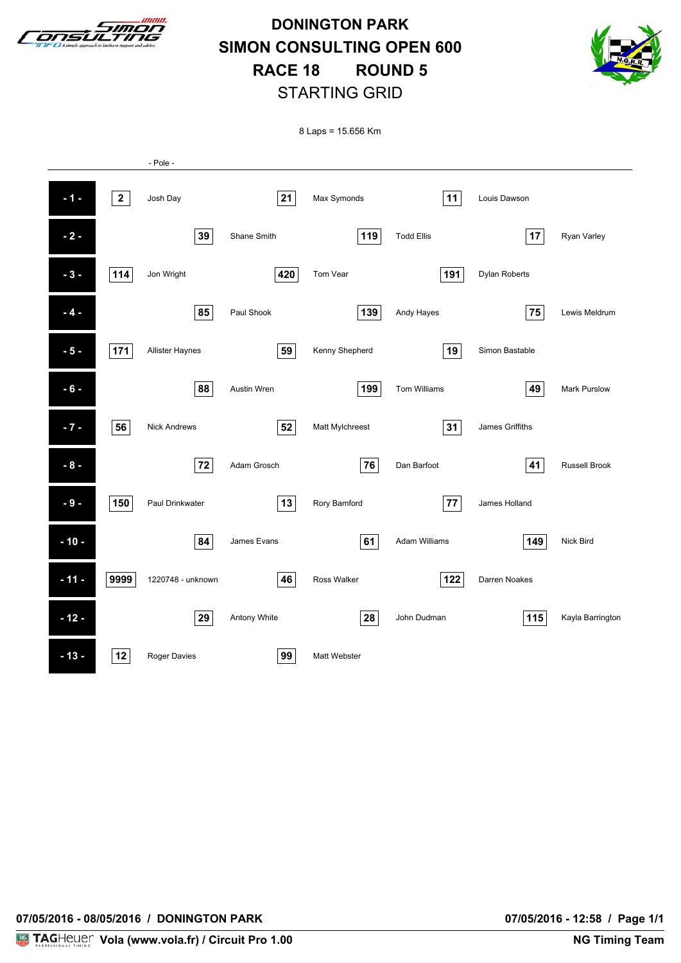

**DONINGTON PARK SIMON CONSULTING OPEN 600 RACE 18 ROUND 5** STARTING GRID



8 Laps = 15.656 Km

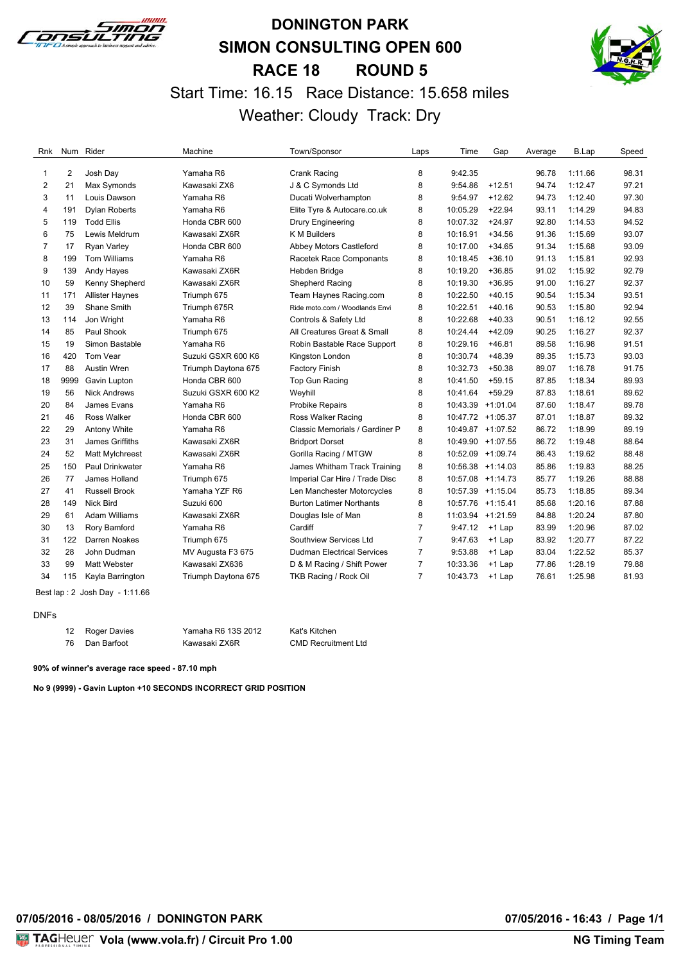

# **DONINGTON PARK SIMON CONSULTING OPEN 600 RACE 18 ROUND 5** Start Time: 16.15 Race Distance: 15.658 miles Weather: Cloudy Track: Dry



| Rnk            |                | Num Rider              | Machine             | Town/Sponsor                      | Laps           | Time     | Gap               | Average | B.Lap   | Speed |
|----------------|----------------|------------------------|---------------------|-----------------------------------|----------------|----------|-------------------|---------|---------|-------|
| 1              | $\overline{2}$ | Josh Day               | Yamaha R6           | Crank Racing                      | 8              | 9:42.35  |                   | 96.78   | 1:11.66 | 98.31 |
| $\overline{2}$ | 21             | Max Symonds            | Kawasaki ZX6        | J & C Symonds Ltd                 | 8              | 9:54.86  | $+12.51$          | 94.74   | 1:12.47 | 97.21 |
| 3              | 11             | Louis Dawson           | Yamaha R6           | Ducati Wolverhampton              | 8              | 9:54.97  | $+12.62$          | 94.73   | 1:12.40 | 97.30 |
| 4              | 191            | <b>Dylan Roberts</b>   | Yamaha R6           | Elite Tyre & Autocare.co.uk       | 8              | 10:05.29 | $+22.94$          | 93.11   | 1:14.29 | 94.83 |
| 5              | 119            | <b>Todd Ellis</b>      | Honda CBR 600       | Drury Engineering                 | 8              | 10:07.32 | $+24.97$          | 92.80   | 1:14.53 | 94.52 |
| 6              | 75             | Lewis Meldrum          | Kawasaki ZX6R       | K M Builders                      | 8              | 10:16.91 | $+34.56$          | 91.36   | 1:15.69 | 93.07 |
| 7              | 17             | <b>Ryan Varley</b>     | Honda CBR 600       | Abbey Motors Castleford           | 8              | 10:17.00 | $+34.65$          | 91.34   | 1:15.68 | 93.09 |
| 8              | 199            | <b>Tom Williams</b>    | Yamaha R6           | Racetek Race Componants           | 8              | 10:18.45 | $+36.10$          | 91.13   | 1:15.81 | 92.93 |
| 9              | 139            | Andy Hayes             | Kawasaki ZX6R       | Hebden Bridge                     | 8              | 10:19.20 | $+36.85$          | 91.02   | 1:15.92 | 92.79 |
| 10             | 59             | Kenny Shepherd         | Kawasaki ZX6R       | Shepherd Racing                   | 8              | 10:19.30 | $+36.95$          | 91.00   | 1:16.27 | 92.37 |
| 11             | 171            | <b>Allister Haynes</b> | Triumph 675         | Team Haynes Racing.com            | 8              | 10:22.50 | $+40.15$          | 90.54   | 1:15.34 | 93.51 |
| 12             | 39             | Shane Smith            | Triumph 675R        | Ride moto.com / Woodlands Envi    | 8              | 10:22.51 | $+40.16$          | 90.53   | 1:15.80 | 92.94 |
| 13             | 114            | Jon Wright             | Yamaha R6           | Controls & Safety Ltd             | 8              | 10:22.68 | $+40.33$          | 90.51   | 1:16.12 | 92.55 |
| 14             | 85             | Paul Shook             | Triumph 675         | All Creatures Great & Small       | 8              | 10:24.44 | $+42.09$          | 90.25   | 1:16.27 | 92.37 |
| 15             | 19             | Simon Bastable         | Yamaha R6           | Robin Bastable Race Support       | 8              | 10:29.16 | $+46.81$          | 89.58   | 1:16.98 | 91.51 |
| 16             | 420            | Tom Vear               | Suzuki GSXR 600 K6  | Kingston London                   | 8              | 10:30.74 | $+48.39$          | 89.35   | 1:15.73 | 93.03 |
| 17             | 88             | Austin Wren            | Triumph Daytona 675 | <b>Factory Finish</b>             | 8              | 10:32.73 | $+50.38$          | 89.07   | 1:16.78 | 91.75 |
| 18             | 9999           | Gavin Lupton           | Honda CBR 600       | Top Gun Racing                    | 8              | 10:41.50 | $+59.15$          | 87.85   | 1:18.34 | 89.93 |
| 19             | 56             | <b>Nick Andrews</b>    | Suzuki GSXR 600 K2  | Weyhill                           | 8              | 10:41.64 | $+59.29$          | 87.83   | 1:18.61 | 89.62 |
| 20             | 84             | James Evans            | Yamaha R6           | <b>Probike Repairs</b>            | 8              |          | 10:43.39 +1:01.04 | 87.60   | 1:18.47 | 89.78 |
| 21             | 46             | <b>Ross Walker</b>     | Honda CBR 600       | Ross Walker Racing                | 8              |          | 10:47.72 +1:05.37 | 87.01   | 1:18.87 | 89.32 |
| 22             | 29             | Antony White           | Yamaha R6           | Classic Memorials / Gardiner P    | 8              |          | 10:49.87 +1:07.52 | 86.72   | 1:18.99 | 89.19 |
| 23             | 31             | James Griffiths        | Kawasaki ZX6R       | <b>Bridport Dorset</b>            | 8              |          | 10:49.90 +1:07.55 | 86.72   | 1:19.48 | 88.64 |
| 24             | 52             | Matt Mylchreest        | Kawasaki ZX6R       | Gorilla Racing / MTGW             | 8              |          | 10:52.09 +1:09.74 | 86.43   | 1:19.62 | 88.48 |
| 25             | 150            | <b>Paul Drinkwater</b> | Yamaha R6           | James Whitham Track Training      | 8              |          | 10:56.38 +1:14.03 | 85.86   | 1:19.83 | 88.25 |
| 26             | 77             | James Holland          | Triumph 675         | Imperial Car Hire / Trade Disc    | 8              |          | 10:57.08 +1:14.73 | 85.77   | 1:19.26 | 88.88 |
| 27             | 41             | <b>Russell Brook</b>   | Yamaha YZF R6       | Len Manchester Motorcycles        | 8              |          | 10:57.39 +1:15.04 | 85.73   | 1:18.85 | 89.34 |
| 28             | 149            | <b>Nick Bird</b>       | Suzuki 600          | <b>Burton Latimer Northants</b>   | 8              |          | 10:57.76 +1:15.41 | 85.68   | 1:20.16 | 87.88 |
| 29             | 61             | <b>Adam Williams</b>   | Kawasaki ZX6R       | Douglas Isle of Man               | 8              |          | 11:03.94 +1:21.59 | 84.88   | 1:20.24 | 87.80 |
| 30             | 13             | Rory Bamford           | Yamaha R6           | Cardiff                           | 7              | 9:47.12  | +1 Lap            | 83.99   | 1:20.96 | 87.02 |
| 31             | 122            | Darren Noakes          | Triumph 675         | Southview Services Ltd            | $\overline{7}$ | 9:47.63  | $+1$ Lap          | 83.92   | 1:20.77 | 87.22 |
| 32             | 28             | John Dudman            | MV Augusta F3 675   | <b>Dudman Electrical Services</b> | $\overline{7}$ | 9:53.88  | $+1$ Lap          | 83.04   | 1:22.52 | 85.37 |
| 33             | 99             | Matt Webster           | Kawasaki ZX636      | D & M Racing / Shift Power        | $\overline{7}$ | 10:33.36 | $+1$ Lap          | 77.86   | 1:28.19 | 79.88 |
| 34             | 115            | Kayla Barrington       | Triumph Daytona 675 | TKB Racing / Rock Oil             | $\overline{7}$ | 10:43.73 | $+1$ Lap          | 76.61   | 1:25.98 | 81.93 |

Best lap : 2 Josh Day - 1:11.66

#### DNFs

| 12 Roger Davies | Yamaha R6 13S 2012 | Kat's Kitchen              |
|-----------------|--------------------|----------------------------|
| Dan Barfoot     | Kawasaki ZX6R      | <b>CMD Recruitment Ltd</b> |

**90% of winner's average race speed - 87.10 mph**

**No 9 (9999) - Gavin Lupton +10 SECONDS INCORRECT GRID POSITION**

**07/05/2016 - 08/05/2016 / DONINGTON PARK 07/05/2016 - 16:43 / Page 1/1**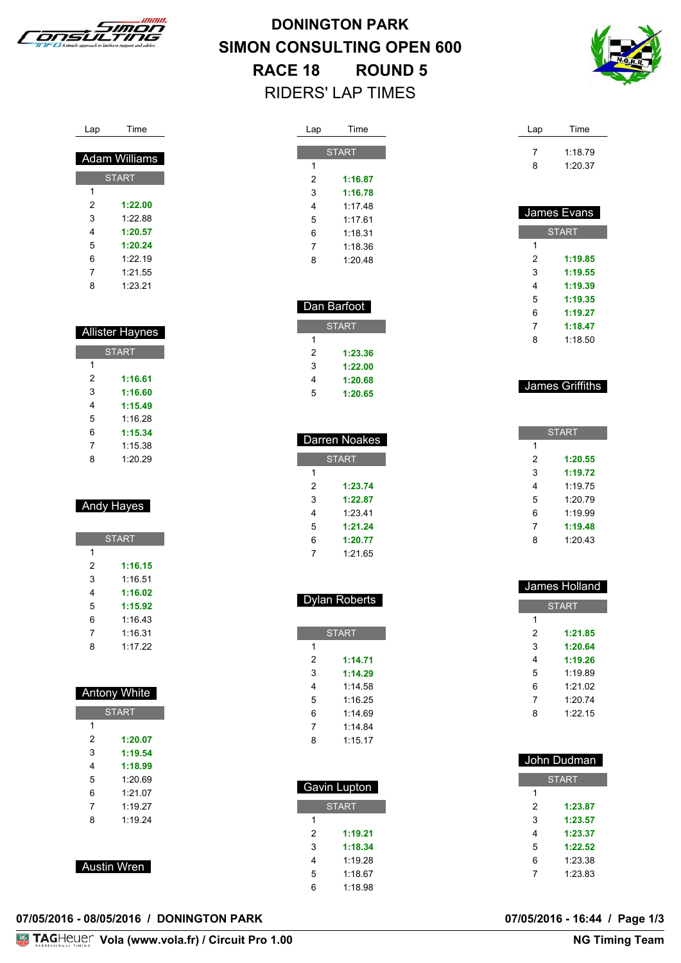

**DONINGTON PARK SIMON CONSULTING OPEN 600 RACE 18 ROUND 5** RIDERS' LAP TIMES



| Lap | Time |
|-----|------|
|     |      |

| <b>Adam Williams</b> |         |  |
|----------------------|---------|--|
| <b>START</b>         |         |  |
| 1                    |         |  |
| 2                    | 1:22.00 |  |
| 3                    | 1:22.88 |  |
| 4                    | 1:20.57 |  |
| 5                    | 1:20.24 |  |
| 6                    | 1.2219  |  |
| 7                    | 1:21.55 |  |
| 8                    | 1:23.21 |  |

| <b>Allister Haynes</b> |         |  |
|------------------------|---------|--|
| <b>START</b>           |         |  |
| 1                      |         |  |
| 2                      | 1:16.61 |  |
| 3                      | 1:16.60 |  |
| 4                      | 1:15.49 |  |
| 5                      | 1:16 28 |  |
| 6                      | 1:15.34 |  |
| 7                      | 1:15.38 |  |
| 8                      | 1:20.29 |  |

#### Andy Hayes

| <b>START</b> |         |  |
|--------------|---------|--|
| 1            |         |  |
| 2            | 1:16.15 |  |
| 3            | 1:16.51 |  |
| 4            | 1:16.02 |  |
| 5            | 1:15.92 |  |
| 6            | 1:16.43 |  |
| 7            | 1:16.31 |  |
| 8            | 1:17.22 |  |

| <b>Antony White</b> |         |  |
|---------------------|---------|--|
| <b>START</b>        |         |  |
| 1                   |         |  |
| 2                   | 1:20.07 |  |
| 3                   | 1:19.54 |  |
| 4                   | 1:18.99 |  |
| 5                   | 1:20.69 |  |
| 6                   | 1:21.07 |  |
| 7                   | 1.1927  |  |
| 8                   | 1.1924  |  |
|                     |         |  |
|                     |         |  |
| ustin Wron<br>Λ     |         |  |

| L Ausun Wien |  |
|--------------|--|
|              |  |

| )7/05/2016 - 08/05/2016 / DONINGTON PARK |
|------------------------------------------|
|------------------------------------------|

| Lap | Time         |
|-----|--------------|
|     | <b>START</b> |
| 1   |              |
| 2   | 1:16.87      |
| 3   | 1:16.78      |
| 4   | 1:17.48      |
| 5   | 1.1761       |
| 6   | 1.18.31      |
| 7   | 1.18.36      |
| 8   | 1.20.48      |
|     |              |

| Dan Barfoot  |         |  |
|--------------|---------|--|
| <b>START</b> |         |  |
| 1            |         |  |
| 2            | 1:23.36 |  |
| 3            | 1:22.00 |  |
| 4            | 1:20.68 |  |
| 5            | 1:20.65 |  |

| Darren Noakes |         |  |
|---------------|---------|--|
| <b>START</b>  |         |  |
| 1             |         |  |
| 2             | 1:23.74 |  |
| 3             | 1:22.87 |  |
| 4             | 1:23.41 |  |
| 5             | 1:21.24 |  |
| 6             | 1:20.77 |  |
| 7             | 1:21.65 |  |

| <b>Dylan Roberts</b> |
|----------------------|
|                      |

|   | <b>START</b> |
|---|--------------|
| 1 |              |
| 2 | 1:14.71      |
| 3 | 1.14.29      |
| 4 | 1.14.58      |
| 5 | 1.1625       |
| 6 | 1.1469       |
| 7 | 1.14.84      |
| 8 | 1:15.17      |
|   |              |

|   | Gavin Lupton |
|---|--------------|
|   | <b>START</b> |
| 1 |              |
| 2 | 1:19.21      |
| 3 | 1:18.34      |
| 4 | 1:19.28      |
| 5 | 1:18.67      |
| 6 | 1:18.98      |

| Lap | Time    |
|-----|---------|
|     | 1:18.79 |
| ጸ   | 1:20.37 |

| James Evans  |         |
|--------------|---------|
| <b>START</b> |         |
| 1            |         |
| 2            | 1:19.85 |
| 3            | 1:19.55 |
| 4            | 1:19.39 |
| 5            | 1:19.35 |
| 6            | 1:19.27 |
| 7            | 1:18.47 |
| 8            | 1.18.50 |

#### James Griffiths

| <b>START</b> |         |  |
|--------------|---------|--|
| 1            |         |  |
| 2            | 1:20.55 |  |
| 3            | 1:19.72 |  |
| 4            | 1.1975  |  |
| 5            | 1:20.79 |  |
| 6            | 1.19.99 |  |
| 7            | 1:19.48 |  |
| ጸ            | 1:20.43 |  |
|              |         |  |

| James Holland |              |
|---------------|--------------|
|               | <b>START</b> |
| 1             |              |
| 2             | 1:21.85      |
| 3             | 1:20.64      |
| 4             | 1:19.26      |
| 5             | 1.19.89      |
| 6             | 1:21.02      |
| 7             | 1:20.74      |
| 8             | 1:2215       |
|               |              |

| John Dudman |              |
|-------------|--------------|
|             | <b>START</b> |
| 1           |              |
| 2           | 1:23.87      |
| 3           | 1:23.57      |
| 4           | 1:23.37      |
| 5           | 1:22.52      |
| 6           | 1:23.38      |
| 7           | 1:23.83      |

07/05/2016 - 16:44 / Page 1/3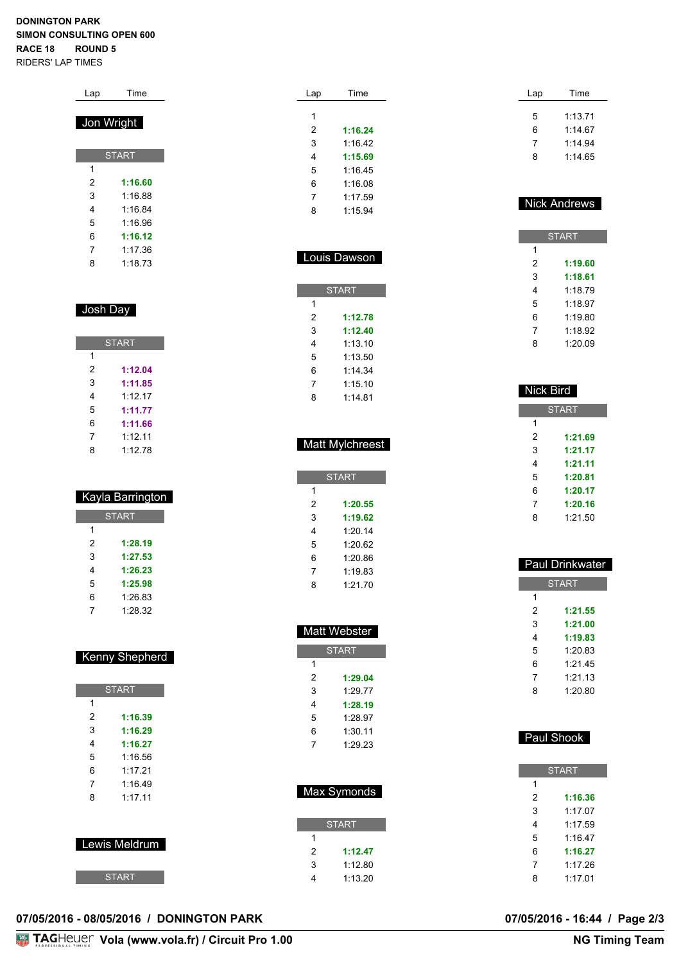#### **DONINGTON PARK SIMON CONSULTING OPEN 600 RACE 18 ROUND 5** RIDERS' LAP TIMES

|   | Jon Wright   |
|---|--------------|
|   | <b>START</b> |
| 1 |              |
| 2 | 1:16.60      |
| 3 | 1:16.88      |
| 4 | 1.16.84      |
| 5 | 1:16.96      |
| 6 | 1:16.12      |
| 7 | 1:17.36      |
| 8 | 1:18.73      |

Lap Time

#### Josh Day

| <b>START</b> |         |  |
|--------------|---------|--|
| 1            |         |  |
| 2            | 1:12.04 |  |
| 3            | 1:11.85 |  |
| 4            | 1.1217  |  |
| 5            | 1:11.77 |  |
| 6            | 1:11.66 |  |
| 7            | 1.1211  |  |
| 8            | 1:12.78 |  |

| Kayla Barrington |         |  |
|------------------|---------|--|
| <b>START</b>     |         |  |
| 1                |         |  |
| 2                | 1:28.19 |  |
| 3                | 1:27.53 |  |
| 4                | 1:26.23 |  |
| 5                | 1:25.98 |  |
| 6                | 1:26.83 |  |
| 7                | 1:28.32 |  |

|                | <b>START</b> |  |
|----------------|--------------|--|
| 1              |              |  |
| 2              | 1:16.39      |  |
| 3              | 1:16.29      |  |
| 4              | 1:16.27      |  |
| 5              | 1:16.56      |  |
| 6              | 1.1721       |  |
| $\overline{7}$ | 1.1649       |  |
| 8              | 1.1711       |  |
|                |              |  |
|                |              |  |
| Lewis Meldrum  |              |  |
|                |              |  |
|                |              |  |
| <b>START</b>   |              |  |

Kenny Shepherd

| Lap | Time    |
|-----|---------|
|     |         |
| 1   |         |
| 2   | 1:16.24 |
| 3   | 1:16.42 |
| 4   | 1:15.69 |
| 5   | 1:16.45 |
| 6   | 1:16.08 |
| 7   | 1:17.59 |
| 8   | 1:15.94 |

| Louis Dawson |  |
|--------------|--|
| <b>START</b> |  |
|              |  |
| 1:12.78      |  |
| 1:12.40      |  |
| 1.13.10      |  |
| 1.13.50      |  |
| 1.14.34      |  |
| 1.1510       |  |
| 1.14.81      |  |
|              |  |

| <b>Matt Mylchreest</b> |
|------------------------|
|------------------------|

|   | <b>START</b> |
|---|--------------|
| 1 |              |
| 2 | 1:20.55      |
| 3 | 1:19.62      |
| 4 | 1:2014       |
| 5 | 1:20.62      |
| 6 | 1:20.86      |
| 7 | 1:19.83      |
| ጸ | 1:21.70      |

| <b>Matt Webster</b> |              |
|---------------------|--------------|
|                     | <b>START</b> |
| 1                   |              |
| 2                   | 1:29.04      |
| 3                   | 1:29.77      |
| 4                   | 1:28.19      |
| 5                   | 1:28.97      |
| 6                   | 1:30.11      |
| 7                   | 1:29.23      |
|                     |              |

| Max Symonds  |
|--------------|
| <b>START</b> |
|              |

 **1:12.47** 1:12.80 1:13.20

| Time    |
|---------|
| 1:13.71 |
| 1:14.67 |
| 1:14.94 |
| 1.1465  |
|         |

#### Nick Andrews

|   | <b>START</b> |
|---|--------------|
| 1 |              |
| 2 | 1:19.60      |
| 3 | 1:18.61      |
| 4 | 1.1879       |
| 5 | 1.18.97      |
| 6 | 1:19.80      |
| 7 | 1:18.92      |
| ጸ | 1:2009       |

| Nick Bird |              |
|-----------|--------------|
|           | <b>START</b> |
| 1         |              |
| 2         | 1:21.69      |
| 3         | 1:21.17      |
| 4         | 1:21.11      |
| 5         | 1:20.81      |
| 6         | 1:20.17      |
| 7         | 1:20.16      |
| 8         | 1:21.50      |

| Paul Drinkwater |              |  |
|-----------------|--------------|--|
|                 | <b>START</b> |  |
| 1               |              |  |
| 2               | 1:21.55      |  |
| 3               | 1:21.00      |  |
| 4               | 1:19.83      |  |
| 5               | 1.20.83      |  |
| 6               | 1:21.45      |  |
| 7               | 1:2113       |  |
| ጸ               | 1:20.80      |  |
|                 |              |  |

| Paul SHOOK |  |
|------------|--|
|            |  |
| 'START     |  |
|            |  |

Paul Shook

#### **07/05/2016 - 08/05/2016 / DONINGTON PARK 07/05/2016 - 16:44 / Page 2/3**

**Vola (www.vola.fr) / Circuit Pro 1.00**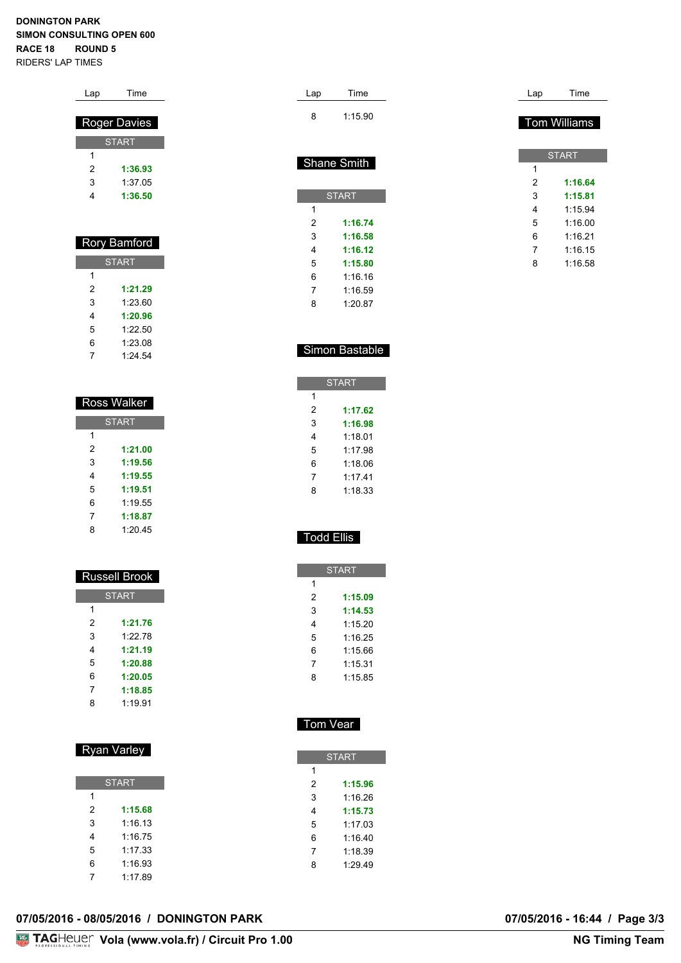#### **DONINGTON PARK SIMON CONSULTING OPEN 600 RACE 18 ROUND 5** RIDERS' LAP TIMES

Lap Time

|   | <b>Roger Davies</b> |  |
|---|---------------------|--|
|   | <b>START</b>        |  |
| 1 |                     |  |
| 2 | 1:36.93             |  |
| 3 | 1:37.05             |  |
| 4 | 1:36.50             |  |
|   |                     |  |
|   |                     |  |
|   | Rory Bamford        |  |
|   | <b>START</b>        |  |
| 1 |                     |  |
| 2 | 1:21.29             |  |
| 3 | 1:23.60             |  |
| 4 | 1:20.96             |  |
| 5 | 1:22.50             |  |
| 6 | 1:23.08             |  |
| 7 | 1:24.54             |  |
|   |                     |  |
|   |                     |  |
|   | Ross Walker         |  |
|   | <b>START</b>        |  |

|   | <b>START</b> |
|---|--------------|
| 1 |              |
| 2 | 1:21.00      |
| 3 | 1:19.56      |
| 4 | 1:19.55      |
| 5 | 1:19.51      |
| 6 | 1:19.55      |
| 7 | 1:18.87      |
| 8 | 1:20.45      |

| Russell Brook |              |  |  |  |  |  |  |  |  |  |
|---------------|--------------|--|--|--|--|--|--|--|--|--|
|               | <b>START</b> |  |  |  |  |  |  |  |  |  |
| 1             |              |  |  |  |  |  |  |  |  |  |
| 2             | 1:21.76      |  |  |  |  |  |  |  |  |  |
| 3             | 1:22.78      |  |  |  |  |  |  |  |  |  |
| 4             | 1:21.19      |  |  |  |  |  |  |  |  |  |
| 5             | 1:20.88      |  |  |  |  |  |  |  |  |  |
| 6             | 1:20.05      |  |  |  |  |  |  |  |  |  |
| 7             | 1:18.85      |  |  |  |  |  |  |  |  |  |
| 8             | 1.19.91      |  |  |  |  |  |  |  |  |  |
|               |              |  |  |  |  |  |  |  |  |  |

### Ryan Varley

| <b>START</b> |         |  |  |  |  |  |  |  |  |  |  |  |
|--------------|---------|--|--|--|--|--|--|--|--|--|--|--|
| 1            |         |  |  |  |  |  |  |  |  |  |  |  |
| 2            | 1:15.68 |  |  |  |  |  |  |  |  |  |  |  |
| 3            | 1:16.13 |  |  |  |  |  |  |  |  |  |  |  |
| 4            | 1:16 75 |  |  |  |  |  |  |  |  |  |  |  |
| 5            | 1:17.33 |  |  |  |  |  |  |  |  |  |  |  |
| 6            | 1:16.93 |  |  |  |  |  |  |  |  |  |  |  |
|              | 1:17.89 |  |  |  |  |  |  |  |  |  |  |  |

| Lap | Time               | Lap | Time                |
|-----|--------------------|-----|---------------------|
| 8   | 1:15.90            |     | <b>Tom Williams</b> |
|     |                    |     | <b>START</b>        |
|     |                    |     |                     |
|     | <b>Shane Smith</b> | 1   |                     |
|     |                    | 2   | 1:16.64             |

 1:15.94 1:16.00 1:16.21 1:16.15 1:16.58

 **1:16.74 1:16.58 1:16.12 1:15.80** 1:16.16 1:16.59 1:20.87

|   | <b>START</b> |
|---|--------------|
| 1 |              |
| 2 | 1:17.62      |
| 3 | 1:16.98      |
| 4 | 1:18.01      |
| 5 | 1.1798       |
| 6 | 1:18.06      |
| 7 | 1.1741       |
| ጻ | 1:18.33      |

#### Todd Ellis

| <b>START</b> |         |  |  |  |  |  |  |  |  |  |  |
|--------------|---------|--|--|--|--|--|--|--|--|--|--|
| 1            |         |  |  |  |  |  |  |  |  |  |  |
| 2            | 1:15.09 |  |  |  |  |  |  |  |  |  |  |
| 3            | 1:14.53 |  |  |  |  |  |  |  |  |  |  |
| 4            | 1:15.20 |  |  |  |  |  |  |  |  |  |  |
| 5            | 1.1625  |  |  |  |  |  |  |  |  |  |  |
| 6            | 1:15.66 |  |  |  |  |  |  |  |  |  |  |
| 7            | 1:15.31 |  |  |  |  |  |  |  |  |  |  |
| 8            | 1:15.85 |  |  |  |  |  |  |  |  |  |  |

### Tom Vear

|   | <b>START</b> |
|---|--------------|
| 1 |              |
| 2 | 1:15.96      |
| 3 | 1.16.26      |
| 4 | 1:15.73      |
| 5 | 1.1703       |
| 6 | 1:16.40      |
| 7 | 1:18.39      |
| 8 | 1:29.49      |
|   |              |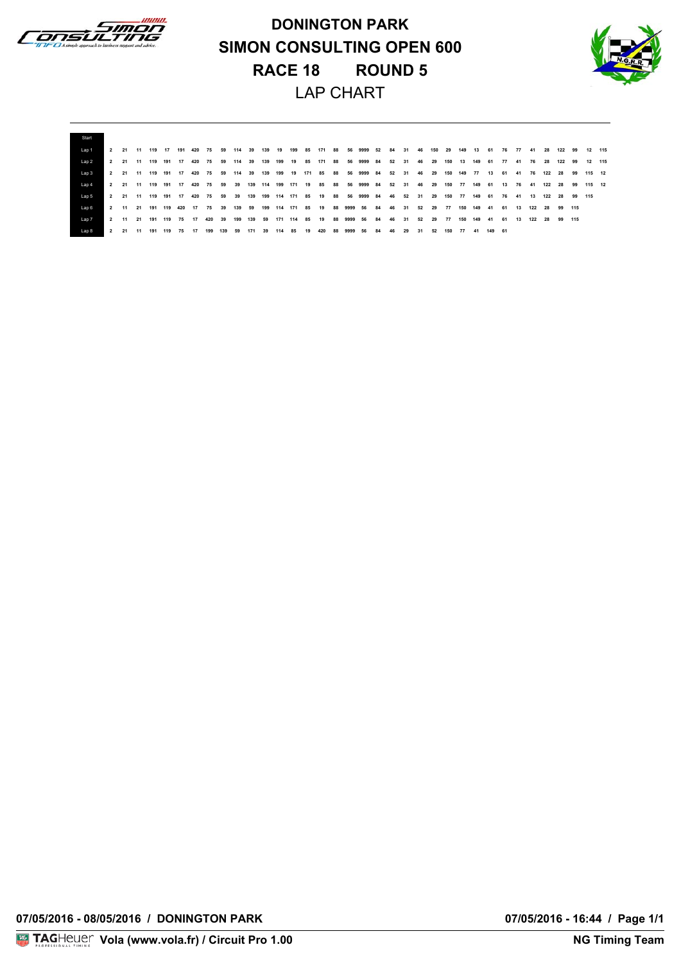

**DONINGTON PARK SIMON CONSULTING OPEN 600 RACE 18 ROUND 5** LAP CHART



| Start |      |                       |    |         |    |        |                              |     |        |     |     |     |    |    |                             |    |      |                                                  |    |      |    |       |     |                  |     |       |                  |    |          |       |       |               |        |                                               |  |
|-------|------|-----------------------|----|---------|----|--------|------------------------------|-----|--------|-----|-----|-----|----|----|-----------------------------|----|------|--------------------------------------------------|----|------|----|-------|-----|------------------|-----|-------|------------------|----|----------|-------|-------|---------------|--------|-----------------------------------------------|--|
| Lap 1 |      |                       |    |         |    |        | 2 21 11 119 17 191 420 75 59 |     |        |     |     |     |    |    |                             |    |      | 114 39 139 19 199 85 171 88 56 9999 52 84 31 46  |    |      |    |       | 150 |                  |     |       |                  |    |          |       |       |               |        | 29 149 13 61 76 77 41 28 122 99 12 115        |  |
| Lap 2 |      | 2 21 11 119 191 17    |    |         |    | 420 75 |                              | 59  | 114 39 |     | 139 | 199 | 19 | 85 | 171 88                      |    | 56   | 9999 84                                          |    | 52   | 31 | 46    | 29  | 150 13           |     | 149   | 61               | 77 | -41      |       | 76 28 | 122 99        |        | 12 115                                        |  |
| Lap 3 |      | 2 21 11 119 191 17    |    |         |    |        |                              |     |        |     |     |     |    |    |                             |    |      | 420 75 59 114 39 139 199 19 171 85 88 56 9999 84 |    | 52   | 31 |       |     |                  |     |       |                  |    |          |       |       |               |        | 46 29 150 149 77 13 61 41 76 122 28 99 115 12 |  |
| Lap 4 |      | 2 21 11 119 191 17    |    |         |    |        | 420 75 59                    |     | 39     |     |     |     |    |    | 139 114 199 171 19 85 88    |    |      | 56 9999 84                                       |    | 52   | 31 | 46    | 29  | 150 77 149 61 13 |     |       |                  |    |          | 76 41 |       |               |        | 122 28 99 115 12                              |  |
| Lap 5 |      | 2 21 11 119 191 17    |    |         |    | 420 75 |                              | 59  | 39     |     |     |     |    |    | 139 199 114 171 85 19 88    |    | 56   | 9999 84                                          |    | 46   | 52 | 31    | 29  | 150              | 77  | 149   | 61               |    | 76 41 13 |       |       | 122 28        | 99 115 |                                               |  |
| Lap 6 |      |                       |    |         |    |        | 2 11 21 191 119 420 17 75 39 |     |        |     |     |     |    |    | 139 59 199 114 171 85 19 88 |    |      | 9999 56 84                                       |    | - 46 | 31 | 52 29 |     | 77               |     |       | 150 149 41 61 13 |    |          |       |       | 122 28 99 115 |        |                                               |  |
| Lap 7 |      | 2 11 21 191 119 75 17 |    |         |    |        | 420                          | 39  | 199    |     |     |     |    |    | 139 59 171 114 85 19 88     |    |      | 9999 56 84                                       |    | 46   | 31 | 52    | 29  | 77               | 150 |       | 149 41 61 13     |    |          |       |       | 122 28 99 115 |        |                                               |  |
| Lap 8 | $-2$ | 21                    | 11 | 191 119 | 75 | -17    | 199                          | 139 | 59     | 171 | -39 | 114 | 85 | 19 | 420                         | 88 | 9999 | 56                                               | 84 | 46   | 29 | 31    | 52  | 150              |     | 77 41 | 149 61           |    |          |       |       |               |        |                                               |  |

**07/05/2016 - 08/05/2016 / DONINGTON PARK 07/05/2016 - 16:44 / Page 1/1**